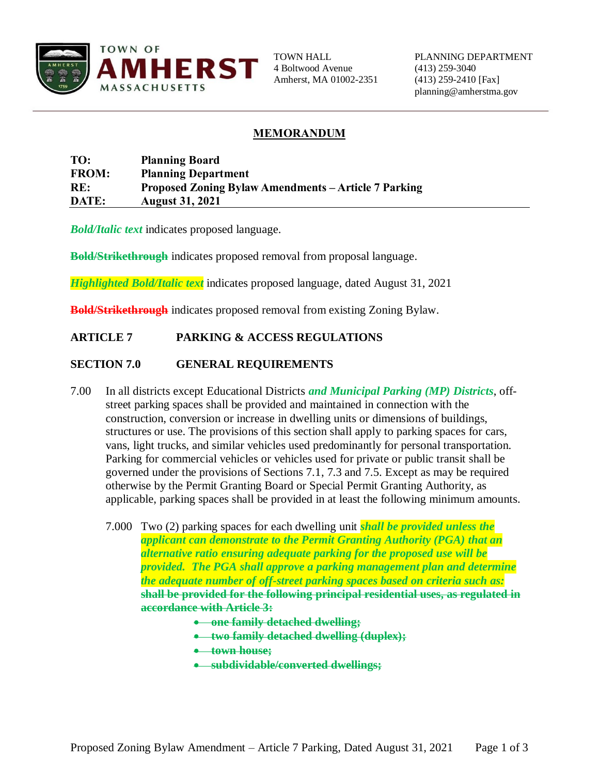

4 Boltwood Avenue (413) 259-3040 Amherst, MA 01002-2351 (413) 259-2410 [Fax]

# **MEMORANDUM**

### **TO: Planning Board FROM: Planning Department RE: Proposed Zoning Bylaw Amendments – Article 7 Parking DATE: August 31, 2021**

*Bold/Italic text* indicates proposed language.

**Bold/Strikethrough** indicates proposed removal from proposal language.

*Highlighted Bold/Italic text* indicates proposed language, dated August 31, 2021

**Bold/Strikethrough** indicates proposed removal from existing Zoning Bylaw.

## **ARTICLE 7 PARKING & ACCESS REGULATIONS**

### **SECTION 7.0 GENERAL REQUIREMENTS**

- 7.00 In all districts except Educational Districts *and Municipal Parking (MP) Districts*, offstreet parking spaces shall be provided and maintained in connection with the construction, conversion or increase in dwelling units or dimensions of buildings, structures or use. The provisions of this section shall apply to parking spaces for cars, vans, light trucks, and similar vehicles used predominantly for personal transportation. Parking for commercial vehicles or vehicles used for private or public transit shall be governed under the provisions of Sections 7.1, 7.3 and 7.5. Except as may be required otherwise by the Permit Granting Board or Special Permit Granting Authority, as applicable, parking spaces shall be provided in at least the following minimum amounts.
	- 7.000 Two (2) parking spaces for each dwelling unit *shall be provided unless the applicant can demonstrate to the Permit Granting Authority (PGA) that an alternative ratio ensuring adequate parking for the proposed use will be provided. The PGA shall approve a parking management plan and determine the adequate number of off-street parking spaces based on criteria such as:* **shall be provided for the following principal residential uses, as regulated in accordance with Article 3:** 
		- **one family detached dwelling;**
		- **two family detached dwelling (duplex);**
		- **town house;**
		- **subdividable/converted dwellings;**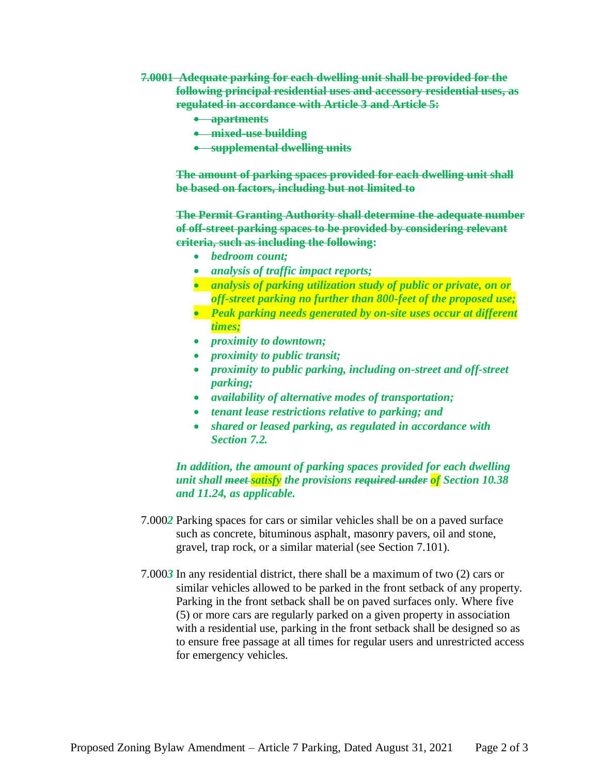- **7.0001 Adequate parking for each dwelling unit shall be provided for the following principal residential uses and accessory residential uses, as regulated in accordance with Article 3 and Article 5:**
	- **apartments**
	- **mixed-use building**
	- **supplemental dwelling units**

**The amount of parking spaces provided for each dwelling unit shall be based on factors, including but not limited to**

**The Permit Granting Authority shall determine the adequate number of off-street parking spaces to be provided by considering relevant criteria, such as including the following:** 

- *bedroom count;*
- *analysis of traffic impact reports;*
- *analysis of parking utilization study of public or private, on or off-street parking no further than 800-feet of the proposed use;*
- *Peak parking needs generated by on-site uses occur at different times;*
- *proximity to downtown;*
- *proximity to public transit;*
- *proximity to public parking, including on-street and off-street parking;*
- *availability of alternative modes of transportation;*
- *tenant lease restrictions relative to parking; and*
- *shared or leased parking, as regulated in accordance with Section 7.2.*

*In addition, the amount of parking spaces provided for each dwelling unit shall meet satisfy the provisions required under of Section 10.38 and 11.24, as applicable.*

- 7.000*2* Parking spaces for cars or similar vehicles shall be on a paved surface such as concrete, bituminous asphalt, masonry pavers, oil and stone, gravel, trap rock, or a similar material (see Section 7.101).
- 7.000*3* In any residential district, there shall be a maximum of two (2) cars or similar vehicles allowed to be parked in the front setback of any property. Parking in the front setback shall be on paved surfaces only. Where five (5) or more cars are regularly parked on a given property in association with a residential use, parking in the front setback shall be designed so as to ensure free passage at all times for regular users and unrestricted access for emergency vehicles.